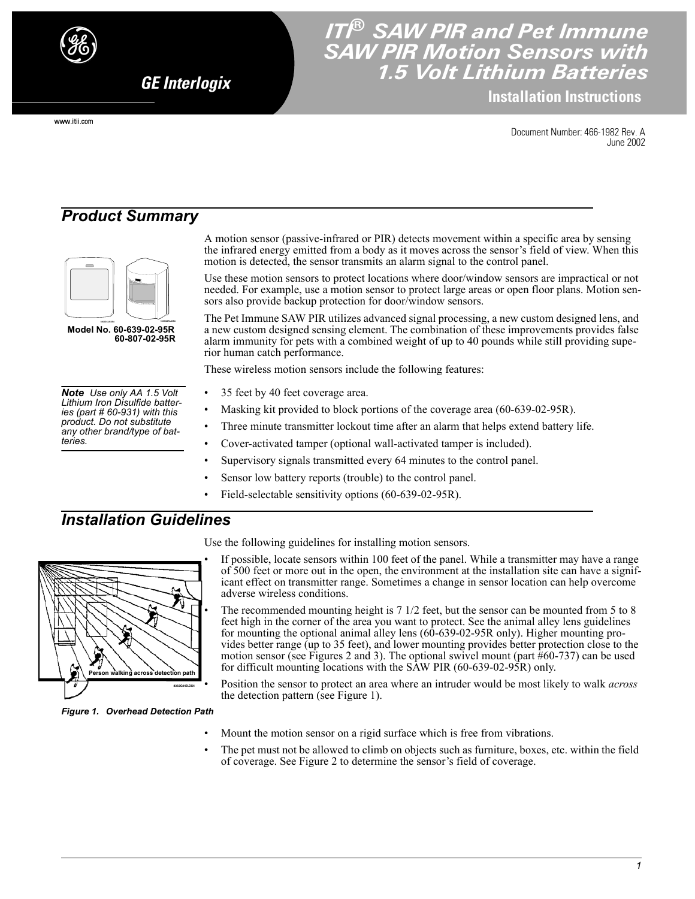

www.itii.com

*GE Interlogix*

# *ITI® SAW PIR and Pet Immune SAW PIR Motion Sensors with 1.5 Volt Lithium Batteries*

**Installation Instructions**

Document Number: 466-1982 Rev. A June 2002

# *Product Summary*



 **1061G37A.DS4 Model No. 60-639-02-95R 60-807-02-95R**

*Note Use only AA 1.5 Volt Lithium Iron Disulfide batteries (part # 60-931) with this product. Do not substitute any other brand/type of batteries.*

A motion sensor (passive-infrared or PIR) detects movement within a specific area by sensing the infrared energy emitted from a body as it moves across the sensor's field of view. When this motion is detected, the sensor transmits an alarm signal to the control panel.

Use these motion sensors to protect locations where door/window sensors are impractical or not needed. For example, use a motion sensor to protect large areas or open floor plans. Motion sensors also provide backup protection for door/window sensors.

The Pet Immune SAW PIR utilizes advanced signal processing, a new custom designed lens, and a new custom designed sensing element. The combination of these improvements provides false alarm immunity for pets with a combined weight of up to 40 pounds while still providing superior human catch performance.

These wireless motion sensors include the following features:

- 35 feet by 40 feet coverage area.
- Masking kit provided to block portions of the coverage area (60-639-02-95R).
- Three minute transmitter lockout time after an alarm that helps extend battery life.
- Cover-activated tamper (optional wall-activated tamper is included).
- Supervisory signals transmitted every 64 minutes to the control panel.
- Sensor low battery reports (trouble) to the control panel.
- Field-selectable sensitivity options (60-639-02-95R).

### *Installation Guidelines*



Use the following guidelines for installing motion sensors.

- If possible, locate sensors within 100 feet of the panel. While a transmitter may have a range of 500 feet or more out in the open, the environment at the installation site can have a significant effect on transmitter range. Sometimes a change in sensor location can help overcome adverse wireless conditions.
	- The recommended mounting height is  $7 \frac{1}{2}$  feet, but the sensor can be mounted from 5 to 8 feet high in the corner of the area you want to protect. See the animal alley lens guidelines for mounting the optional animal alley lens (60-639-02-95R only). Higher mounting provides better range (up to 35 feet), and lower mounting provides better protection close to the motion sensor (see Figures 2 and 3). The optional swivel mount (part  $#60-737$ ) can be used for difficult mounting locations with the SAW PIR (60-639-02-95R) only.
	- Position the sensor to protect an area where an intruder would be most likely to walk *across* the detection pattern (see Figure 1).

*Figure 1. Overhead Detection Path*

- Mount the motion sensor on a rigid surface which is free from vibrations.
- The pet must not be allowed to climb on objects such as furniture, boxes, etc. within the field of coverage. See Figure 2 to determine the sensor's field of coverage.

*1*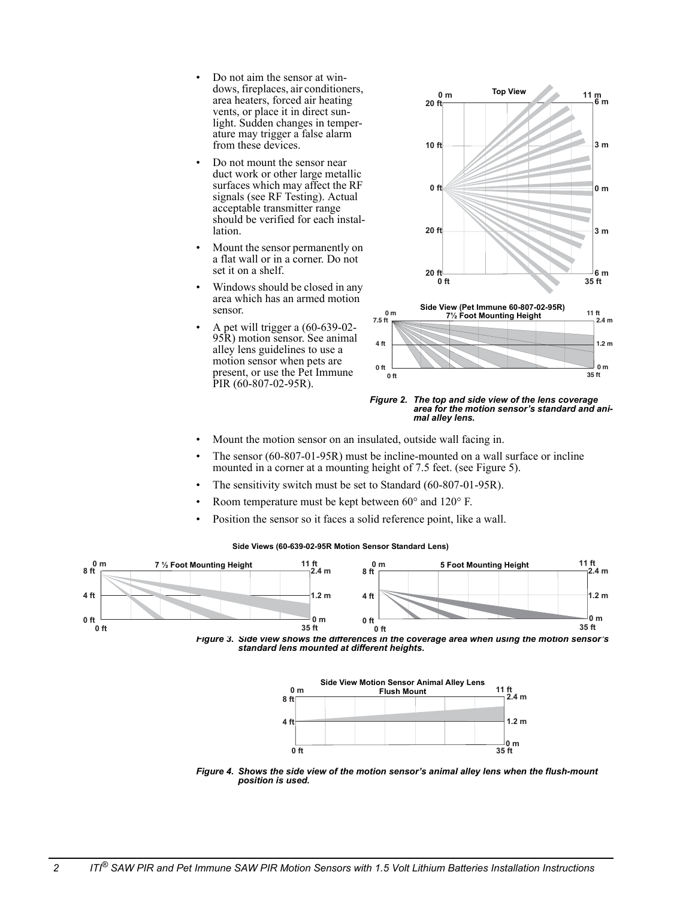- Do not aim the sensor at windows, fireplaces, air conditioners, area heaters, forced air heating vents, or place it in direct sunlight. Sudden changes in temperature may trigger a false alarm from these devices.
- Do not mount the sensor near duct work or other large metallic surfaces which may affect the RF signals (see RF Testing). Actual acceptable transmitter range should be verified for each installation.
- Mount the sensor permanently on a flat wall or in a corner. Do not set it on a shelf.
- Windows should be closed in any area which has an armed motion sensor.
- A pet will trigger a (60-639-02- 95R) motion sensor. See animal alley lens guidelines to use a motion sensor when pets are present, or use the Pet Immune PIR (60-807-02-95R).



*Figure 2. The top and side view of the lens coverage area for the motion sensor's standard and animal alley lens.*

- Mount the motion sensor on an insulated, outside wall facing in.
- The sensor (60-807-01-95R) must be incline-mounted on a wall surface or incline mounted in a corner at a mounting height of 7.5 feet. (see Figure 5).
- The sensitivity switch must be set to Standard (60-807-01-95R).
- Room temperature must be kept between 60° and 120° F.
- Position the sensor so it faces a solid reference point, like a wall.

**Side Views (60-639-02-95R Motion Sensor Standard Lens)**







*Figure 4. Shows the side view of the motion sensor's animal alley lens when the flush-mount position is used.*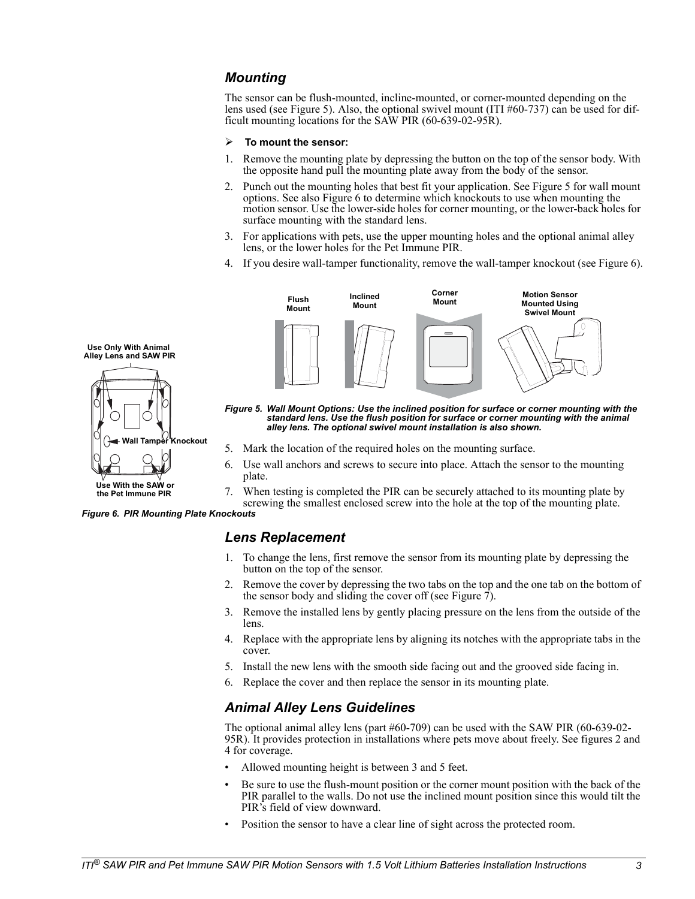#### *Mounting*

The sensor can be flush-mounted, incline-mounted, or corner-mounted depending on the lens used (see Figure 5). Also, the optional swivel mount (ITI #60-737) can be used for difficult mounting locations for the SAW PIR (60-639-02-95R).

#### ¾ **To mount the sensor:**

- Remove the mounting plate by depressing the button on the top of the sensor body. With the opposite hand pull the mounting plate away from the body of the sensor.
- 2. Punch out the mounting holes that best fit your application. See Figure 5 for wall mount options. See also Figure 6 to determine which knockouts to use when mounting the motion sensor. Use the lower-side holes for corner mounting, or the lower-back holes for surface mounting with the standard lens.
- 3. For applications with pets, use the upper mounting holes and the optional animal alley lens, or the lower holes for the Pet Immune PIR.
- 4. If you desire wall-tamper functionality, remove the wall-tamper knockout (see Figure 6).



*Figure 5. Wall Mount Options: Use the inclined position for surface or corner mounting with the standard lens. Use the flush position for surface or corner mounting with the animal alley lens. The optional swivel mount installation is also shown.*

- 5. Mark the location of the required holes on the mounting surface.
- 6. Use wall anchors and screws to secure into place. Attach the sensor to the mounting plate.
- 7. When testing is completed the PIR can be securely attached to its mounting plate by screwing the smallest enclosed screw into the hole at the top of the mounting plate.

*Figure 6. PIR Mounting Plate Knockouts*

**Wall Tamper Knockout**

#### *Lens Replacement*

- 1. To change the lens, first remove the sensor from its mounting plate by depressing the button on the top of the sensor.
- 2. Remove the cover by depressing the two tabs on the top and the one tab on the bottom of the sensor body and sliding the cover off (see Figure 7).
- 3. Remove the installed lens by gently placing pressure on the lens from the outside of the lens.
- 4. Replace with the appropriate lens by aligning its notches with the appropriate tabs in the cover.
- 5. Install the new lens with the smooth side facing out and the grooved side facing in.
- 6. Replace the cover and then replace the sensor in its mounting plate.

#### *Animal Alley Lens Guidelines*

The optional animal alley lens (part #60-709) can be used with the SAW PIR (60-639-02- 95R). It provides protection in installations where pets move about freely. See figures 2 and 4 for coverage.

- Allowed mounting height is between 3 and 5 feet.
- Be sure to use the flush-mount position or the corner mount position with the back of the PIR parallel to the walls. Do not use the inclined mount position since this would tilt the PIR's field of view downward.
- Position the sensor to have a clear line of sight across the protected room.



**Use With the SAW or the Pet Immune PIR**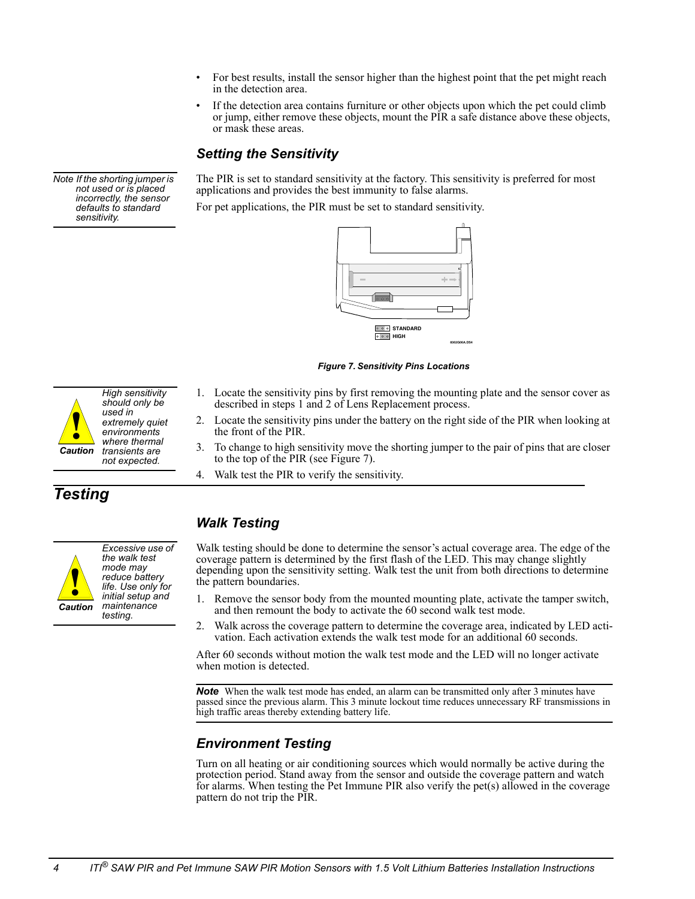- For best results, install the sensor higher than the highest point that the pet might reach in the detection area.
- If the detection area contains furniture or other objects upon which the pet could climb or jump, either remove these objects, mount the PIR a safe distance above these objects, or mask these areas.

#### *Setting the Sensitivity*

The PIR is set to standard sensitivity at the factory. This sensitivity is preferred for most applications and provides the best immunity to false alarms.

For pet applications, the PIR must be set to standard sensitivity.



*Figure 7. Sensitivity Pins Locations*

- *High sensitivity should only be used in extremely quiet environments where thermal transients are not expected. Caution* **!**
- 1. Locate the sensitivity pins by first removing the mounting plate and the sensor cover as described in steps 1 and 2 of Lens Replacement process.
- 2. Locate the sensitivity pins under the battery on the right side of the PIR when looking at the front of the PIR.
- 3. To change to high sensitivity move the shorting jumper to the pair of pins that are closer to the top of the PIR (see Figure 7).
- 4. Walk test the PIR to verify the sensitivity.

# *Testing*



# *Walk Testing*

Walk testing should be done to determine the sensor's actual coverage area. The edge of the coverage pattern is determined by the first flash of the LED. This may change slightly depending upon the sensitivity setting. Walk test the unit from both directions to determine the pattern boundaries.

- 1. Remove the sensor body from the mounted mounting plate, activate the tamper switch, and then remount the body to activate the 60 second walk test mode.
- 2. Walk across the coverage pattern to determine the coverage area, indicated by LED activation. Each activation extends the walk test mode for an additional 60 seconds.

After 60 seconds without motion the walk test mode and the LED will no longer activate when motion is detected.

**Note** When the walk test mode has ended, an alarm can be transmitted only after 3 minutes have passed since the previous alarm. This 3 minute lockout time reduces unnecessary RF transmissions in high traffic areas thereby extending battery life.

# *Environment Testing*

Turn on all heating or air conditioning sources which would normally be active during the protection period. Stand away from the sensor and outside the coverage pattern and watch for alarms. When testing the Pet Immune PIR also verify the pet(s) allowed in the coverage pattern do not trip the PIR.

*Note If the shorting jumper is not used or is placed incorrectly, the sensor defaults to standard sensitivity.*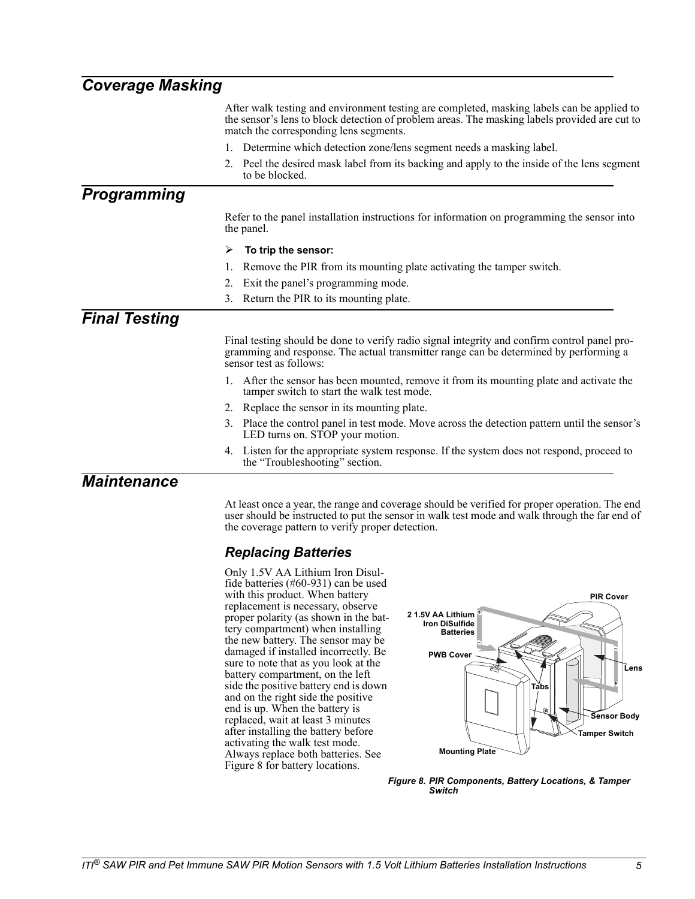| <b>Coverage Masking</b> |                                                                                                                                                                                                                                       |  |
|-------------------------|---------------------------------------------------------------------------------------------------------------------------------------------------------------------------------------------------------------------------------------|--|
|                         | After walk testing and environment testing are completed, masking labels can be applied to<br>the sensor's lens to block detection of problem areas. The masking labels provided are cut to<br>match the corresponding lens segments. |  |
|                         | 1. Determine which detection zone/lens segment needs a masking label.                                                                                                                                                                 |  |
|                         | 2. Peel the desired mask label from its backing and apply to the inside of the lens segment<br>to be blocked.                                                                                                                         |  |
| <b>Programming</b>      |                                                                                                                                                                                                                                       |  |
|                         | Refer to the panel installation instructions for information on programming the sensor into<br>the panel.                                                                                                                             |  |
|                         | ⋗<br>To trip the sensor:                                                                                                                                                                                                              |  |
|                         | Remove the PIR from its mounting plate activating the tamper switch.                                                                                                                                                                  |  |
|                         | Exit the panel's programming mode.<br>2.                                                                                                                                                                                              |  |
|                         | Return the PIR to its mounting plate.<br>$3_{-}$                                                                                                                                                                                      |  |
| <b>Final Testing</b>    |                                                                                                                                                                                                                                       |  |
|                         | Final testing should be done to verify radio signal integrity and confirm control panel pro-<br>gramming and response. The actual transmitter range can be determined by performing a<br>sensor test as follows:                      |  |
|                         | 1. After the sensor has been mounted, remove it from its mounting plate and activate the<br>tamper switch to start the walk test mode.                                                                                                |  |
|                         | 2. Replace the sensor in its mounting plate.                                                                                                                                                                                          |  |
|                         | Place the control panel in test mode. Move across the detection pattern until the sensor's<br>3.<br>LED turns on. STOP your motion.                                                                                                   |  |
|                         | 4. Listen for the appropriate system response. If the system does not respond, proceed to<br>the "Troubleshooting" section.                                                                                                           |  |
| <b>Maintenance</b>      |                                                                                                                                                                                                                                       |  |

At least once a year, the range and coverage should be verified for proper operation. The end user should be instructed to put the sensor in walk test mode and walk through the far end of the coverage pattern to verify proper detection.

### *Replacing Batteries*

Only 1.5V AA Lithium Iron Disulfide batteries (#60-931) can be used with this product. When battery replacement is necessary, observe proper polarity (as shown in the battery compartment) when installing the new battery. The sensor may be damaged if installed incorrectly. Be sure to note that as you look at the battery compartment, on the left side the positive battery end is down and on the right side the positive end is up. When the battery is replaced, wait at least 3 minutes after installing the battery before activating the walk test mode. Always replace both batteries. See Figure 8 for battery locations.



*Figure 8. PIR Components, Battery Locations, & Tamper Switch*